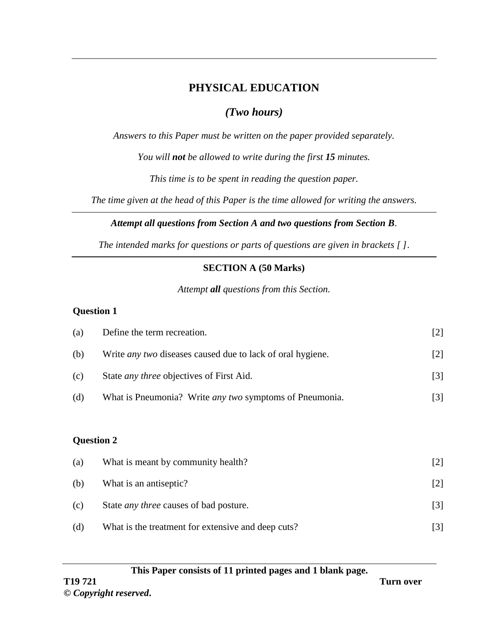# **PHYSICAL EDUCATION**

# *(Two hours)*

*Answers to this Paper must be written on the paper provided separately.*

*You will not be allowed to write during the first 15 minutes.*

*This time is to be spent in reading the question paper.*

*The time given at the head of this Paper is the time allowed for writing the answers.*

## *Attempt all questions from Section A and two questions from Section B.*

*The intended marks for questions or parts of questions are given in brackets [ ]*.

## **SECTION A (50 Marks)**

## *Attempt all questions from this Section.*

## **Question 1**

| (a)               | Define the term recreation.                                       | $[2]$ |
|-------------------|-------------------------------------------------------------------|-------|
| (b)               | Write <i>any two</i> diseases caused due to lack of oral hygiene. | $[2]$ |
| (c)               | State <i>any three</i> objectives of First Aid.                   | $[3]$ |
| (d)               | What is Pneumonia? Write <i>any two</i> symptoms of Pneumonia.    | $[3]$ |
|                   |                                                                   |       |
| <b>Question 2</b> |                                                                   |       |
| (a)               | What is meant by community health?                                | $[2]$ |
| (b)               | What is an antiseptic?                                            | $[2]$ |

(d) What is the treatment for extensive and deep cuts? [3]

(c) State *any three* causes of bad posture. [3]

#### **This Paper consists of 11 printed pages and 1 blank page.**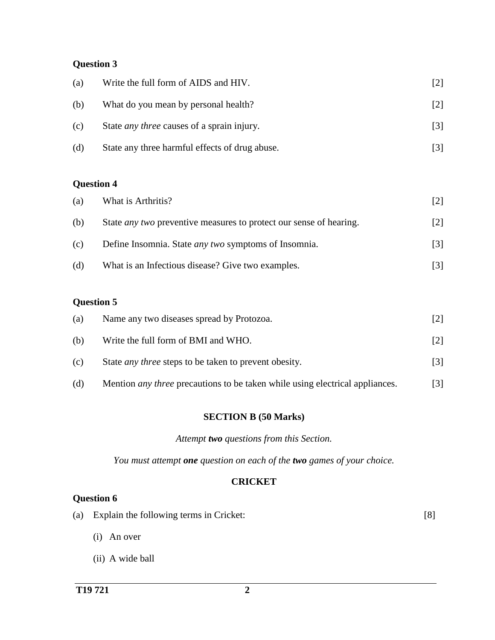## **Question 3**

| (a) | Write the full form of AIDS and HIV.              |  |
|-----|---------------------------------------------------|--|
| (b) | What do you mean by personal health?              |  |
| (c) | State <i>any three</i> causes of a sprain injury. |  |
| (d) | State any three harmful effects of drug abuse.    |  |

## **Question 4**

| (a) | What is Arthritis?                                                        |                   |
|-----|---------------------------------------------------------------------------|-------------------|
| (b) | State <i>any two</i> preventive measures to protect our sense of hearing. | $\lceil 2 \rceil$ |
| (c) | Define Insomnia. State <i>any two</i> symptoms of Insomnia.               | $\lceil 3 \rceil$ |
| (d) | What is an Infectious disease? Give two examples.                         | $\lceil 3 \rceil$ |

### **Question 5**

| (a) | Name any two diseases spread by Protozoa.                                           |     |
|-----|-------------------------------------------------------------------------------------|-----|
| (b) | Write the full form of BMI and WHO.                                                 | 121 |
| (c) | State <i>any three</i> steps to be taken to prevent obesity.                        | 3   |
| (d) | Mention <i>any three</i> precautions to be taken while using electrical appliances. |     |

#### **SECTION B (50 Marks)**

*Attempt two questions from this Section.*

*You must attempt one question on each of the two games of your choice.*

### **CRICKET**

| (a) Explain the following terms in Cricket: |  |
|---------------------------------------------|--|
|                                             |  |

- (i) An over
- (ii) A wide ball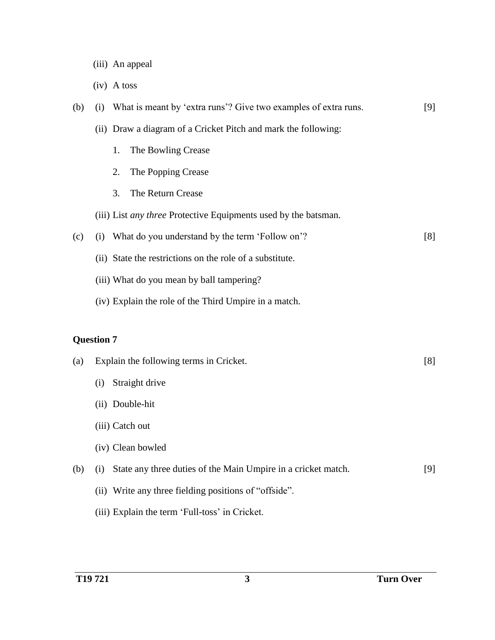- (iii) An appeal
- (iv) A toss

| (b)               | (i) | What is meant by 'extra runs'? Give two examples of extra runs.        | [9] |
|-------------------|-----|------------------------------------------------------------------------|-----|
|                   |     | (ii) Draw a diagram of a Cricket Pitch and mark the following:         |     |
|                   |     | 1.<br>The Bowling Crease                                               |     |
|                   |     | 2.<br>The Popping Crease                                               |     |
|                   |     | 3.<br>The Return Crease                                                |     |
|                   |     | (iii) List <i>any three</i> Protective Equipments used by the batsman. |     |
| (c)               | (i) | What do you understand by the term 'Follow on'?                        | [8] |
|                   |     | (ii) State the restrictions on the role of a substitute.               |     |
|                   |     | (iii) What do you mean by ball tampering?                              |     |
|                   |     | (iv) Explain the role of the Third Umpire in a match.                  |     |
|                   |     |                                                                        |     |
|                   |     |                                                                        |     |
| <b>Question 7</b> |     |                                                                        |     |
| (a)               |     | Explain the following terms in Cricket.                                | [8] |
|                   | (i) | Straight drive                                                         |     |
|                   |     | (ii) Double-hit                                                        |     |
|                   |     | (iii) Catch out                                                        |     |
|                   |     | (iv) Clean bowled                                                      |     |
| (b)               | (i) | State any three duties of the Main Umpire in a cricket match.          | [9] |
|                   |     | (ii) Write any three fielding positions of "offside".                  |     |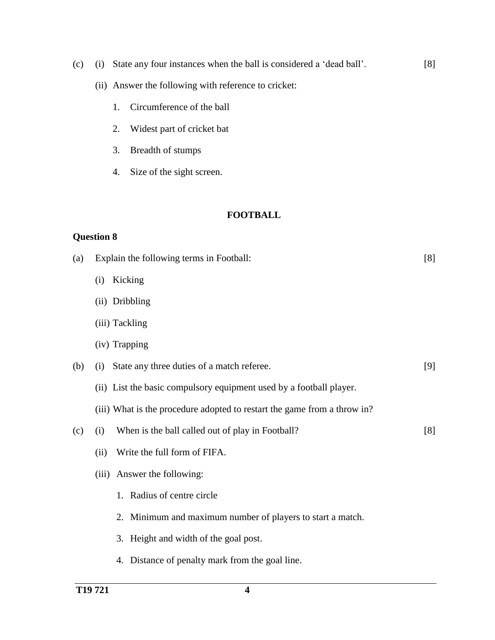- (c) (i) State any four instances when the ball is considered a 'dead ball'. [8]
	- (ii) Answer the following with reference to cricket:
		- 1. Circumference of the ball
		- 2. Widest part of cricket bat
		- 3. Breadth of stumps
		- 4. Size of the sight screen.

#### **FOOTBALL**

| (a) | Explain the following terms in Football:                                 | [8] |
|-----|--------------------------------------------------------------------------|-----|
|     | Kicking<br>(i)                                                           |     |
|     | (ii) Dribbling                                                           |     |
|     | (iii) Tackling                                                           |     |
|     | (iv) Trapping                                                            |     |
| (b) | State any three duties of a match referee.<br>(i)                        | [9] |
|     | (ii) List the basic compulsory equipment used by a football player.      |     |
|     | (iii) What is the procedure adopted to restart the game from a throw in? |     |
| (c) | When is the ball called out of play in Football?<br>(i)                  | [8] |
|     | Write the full form of FIFA.<br>(ii)                                     |     |
|     | (iii) Answer the following:                                              |     |
|     | 1. Radius of centre circle                                               |     |
|     | 2. Minimum and maximum number of players to start a match.               |     |
|     | 3. Height and width of the goal post.                                    |     |
|     | 4. Distance of penalty mark from the goal line.                          |     |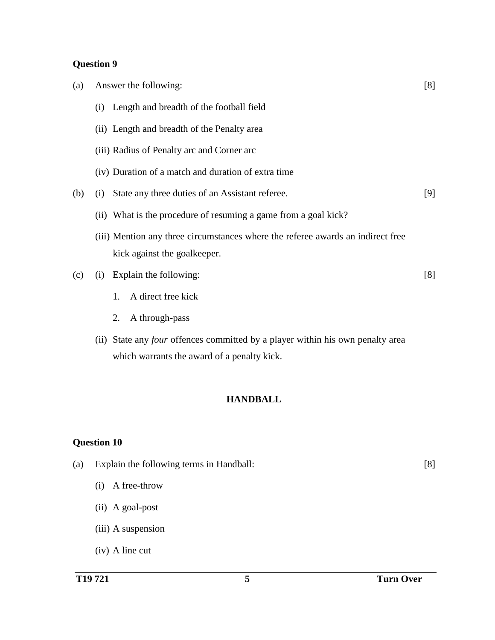## **Question 9**

| (a) |     | Answer the following:                                                                                           | [8] |
|-----|-----|-----------------------------------------------------------------------------------------------------------------|-----|
|     |     | (i) Length and breadth of the football field                                                                    |     |
|     |     | (ii) Length and breadth of the Penalty area                                                                     |     |
|     |     | (iii) Radius of Penalty arc and Corner arc                                                                      |     |
|     |     | (iv) Duration of a match and duration of extra time                                                             |     |
| (b) | (i) | State any three duties of an Assistant referee.                                                                 | [9] |
|     |     | (ii) What is the procedure of resuming a game from a goal kick?                                                 |     |
|     |     | (iii) Mention any three circumstances where the referee awards an indirect free<br>kick against the goalkeeper. |     |
| (c) | (i) | Explain the following:                                                                                          | [8] |
|     |     | A direct free kick<br>1.                                                                                        |     |
|     |     | A through-pass<br>2.                                                                                            |     |
|     |     |                                                                                                                 |     |

(ii) State any *four* offences committed by a player within his own penalty area which warrants the award of a penalty kick.

#### **HANDBALL**

- (a) Explain the following terms in Handball: [8]
	- (i) A free-throw
	- (ii) A goal-post
	- (iii) A suspension
	- (iv) A line cut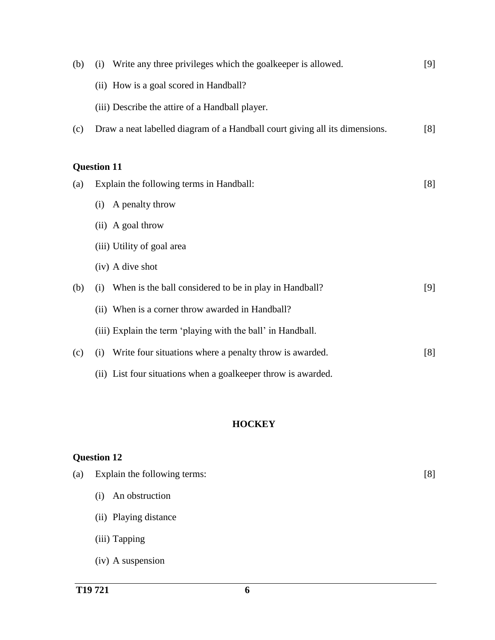| (b) | Write any three privileges which the goalkeeper is allowed.<br>(i)          | [9] |
|-----|-----------------------------------------------------------------------------|-----|
|     | (ii) How is a goal scored in Handball?                                      |     |
|     | (iii) Describe the attire of a Handball player.                             |     |
| (c) | Draw a neat labelled diagram of a Handball court giving all its dimensions. | [8] |
|     |                                                                             |     |
|     | <b>Question 11</b>                                                          |     |
| (a) | Explain the following terms in Handball:                                    | [8] |
|     | A penalty throw<br>(i)                                                      |     |
|     | (ii) A goal throw                                                           |     |
|     | (iii) Utility of goal area                                                  |     |
|     | (iv) A dive shot                                                            |     |
| (b) | When is the ball considered to be in play in Handball?<br>(i)               | [9] |
|     | (ii) When is a corner throw awarded in Handball?                            |     |
|     | (iii) Explain the term 'playing with the ball' in Handball.                 |     |
| (c) | Write four situations where a penalty throw is awarded.<br>(i)              | [8] |
|     | (ii) List four situations when a goalkeeper throw is awarded.               |     |

## **HOCKEY**

| (a) | Explain the following terms: | [8] |
|-----|------------------------------|-----|
|     | An obstruction<br>(i)        |     |
|     | (ii) Playing distance        |     |
|     | (iii) Tapping                |     |
|     | (iv) A suspension            |     |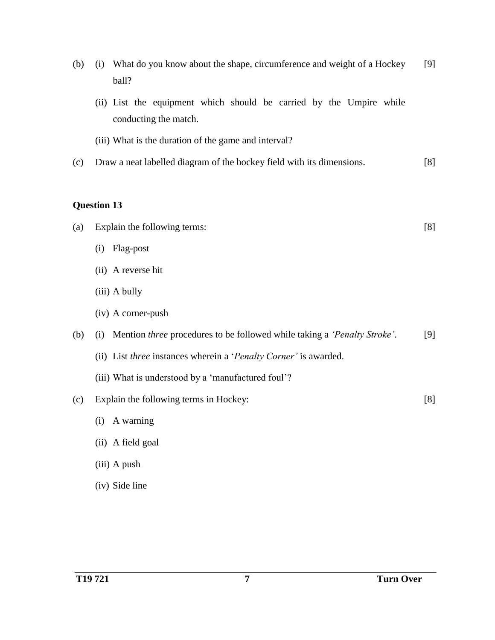| (b) | What do you know about the shape, circumference and weight of a Hockey<br>(i)<br>ball?       | $[9]$ |
|-----|----------------------------------------------------------------------------------------------|-------|
|     | (ii) List the equipment which should be carried by the Umpire while<br>conducting the match. |       |
|     | (iii) What is the duration of the game and interval?                                         |       |
| (c) | Draw a neat labelled diagram of the hockey field with its dimensions.                        | [8]   |
|     | <b>Question 13</b>                                                                           |       |
| (a) | Explain the following terms:                                                                 | [8]   |
|     | Flag-post<br>(i)                                                                             |       |
|     | (ii) A reverse hit                                                                           |       |
|     | (iii) A bully                                                                                |       |
|     | (iv) A corner-push                                                                           |       |
| (b) | Mention three procedures to be followed while taking a 'Penalty Stroke'.<br>(i)              | $[9]$ |
|     | (ii) List three instances wherein a 'Penalty Corner' is awarded.                             |       |
|     | (iii) What is understood by a 'manufactured foul'?                                           |       |
| (c) | Explain the following terms in Hockey:                                                       | [8]   |
|     | A warning<br>(i)                                                                             |       |
|     | (ii) A field goal                                                                            |       |
|     | (iii) A push                                                                                 |       |
|     | (iv) Side line                                                                               |       |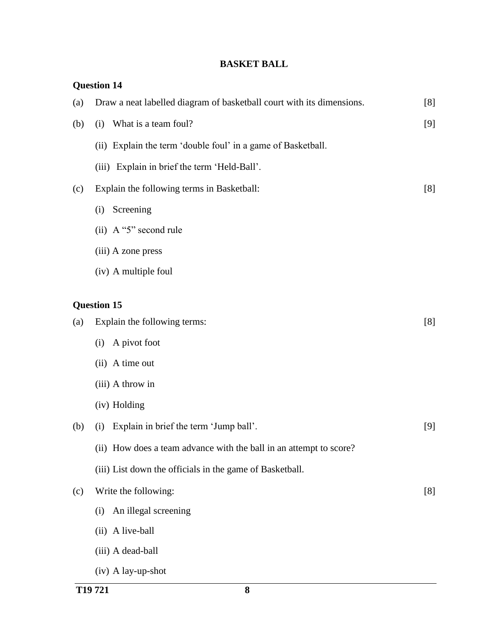## **BASKET BALL**

|     | <b>Question 14</b>                                                    |     |
|-----|-----------------------------------------------------------------------|-----|
| (a) | Draw a neat labelled diagram of basketball court with its dimensions. | [8] |
| (b) | What is a team foul?<br>(i)                                           | [9] |
|     | (ii) Explain the term 'double foul' in a game of Basketball.          |     |
|     | (iii) Explain in brief the term 'Held-Ball'.                          |     |
| (c) | Explain the following terms in Basketball:                            | [8] |
|     | Screening<br>(i)                                                      |     |
|     | (ii) A "5" second rule                                                |     |
|     | (iii) A zone press                                                    |     |
|     | (iv) A multiple foul                                                  |     |
|     | <b>Question 15</b>                                                    |     |
|     |                                                                       |     |
| (a) | Explain the following terms:                                          | [8] |
|     | A pivot foot<br>(i)                                                   |     |
|     | (ii) A time out                                                       |     |
|     | (iii) A throw in                                                      |     |
|     | (iv) Holding                                                          |     |
| (b) | Explain in brief the term 'Jump ball'.<br>(i)                         | [9] |
|     | (ii) How does a team advance with the ball in an attempt to score?    |     |
|     | (iii) List down the officials in the game of Basketball.              |     |
| (c) | Write the following:                                                  | [8] |
|     | An illegal screening<br>(i)                                           |     |
|     | (ii) A live-ball                                                      |     |
|     | (iii) A dead-ball                                                     |     |
|     | (iv) A lay-up-shot                                                    |     |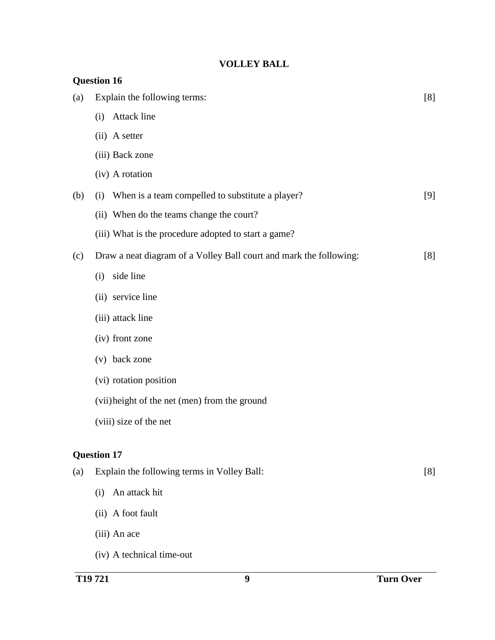## **VOLLEY BALL**

| <b>Question 16</b> |                                                                    |     |  |
|--------------------|--------------------------------------------------------------------|-----|--|
| (a)                | Explain the following terms:                                       | [8] |  |
|                    | Attack line<br>(i)                                                 |     |  |
|                    | (ii) A setter                                                      |     |  |
|                    | (iii) Back zone                                                    |     |  |
|                    | (iv) A rotation                                                    |     |  |
| (b)                | When is a team compelled to substitute a player?<br>(i)            | [9] |  |
|                    | (ii) When do the teams change the court?                           |     |  |
|                    | (iii) What is the procedure adopted to start a game?               |     |  |
| (c)                | Draw a neat diagram of a Volley Ball court and mark the following: | [8] |  |
|                    | side line<br>(i)                                                   |     |  |
|                    | (ii) service line                                                  |     |  |
|                    | (iii) attack line                                                  |     |  |
|                    | (iv) front zone                                                    |     |  |
|                    | (v) back zone                                                      |     |  |
|                    | (vi) rotation position                                             |     |  |
|                    | (vii) height of the net (men) from the ground                      |     |  |
|                    | (viii) size of the net                                             |     |  |
|                    | <b>Question 17</b>                                                 |     |  |
| (a)                | Explain the following terms in Volley Ball:                        | [8] |  |
|                    | An attack hit<br>(i)                                               |     |  |
|                    | (ii) A foot fault                                                  |     |  |
|                    | (iii) An ace                                                       |     |  |
|                    | (iv) A technical time-out                                          |     |  |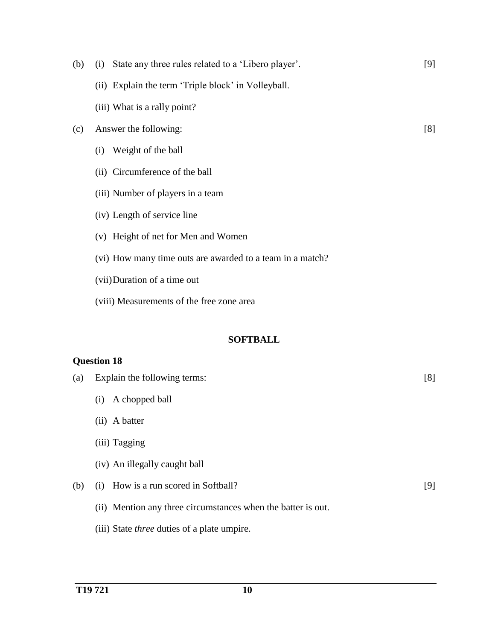| (b) | State any three rules related to a 'Libero player'.<br>(i) | [9] |
|-----|------------------------------------------------------------|-----|
|     | (ii) Explain the term 'Triple block' in Volleyball.        |     |
|     | (iii) What is a rally point?                               |     |
| (c) | Answer the following:                                      | [8] |
|     | Weight of the ball<br>(i)                                  |     |
|     | (ii) Circumference of the ball                             |     |
|     | (iii) Number of players in a team                          |     |
|     | (iv) Length of service line                                |     |
|     | (v) Height of net for Men and Women                        |     |
|     | (vi) How many time outs are awarded to a team in a match?  |     |
|     | (vii) Duration of a time out                               |     |
|     | (viii) Measurements of the free zone area                  |     |
|     |                                                            |     |
|     | <b>SOFTBALL</b>                                            |     |
|     | <b>Question 18</b>                                         |     |
| (a) | Explain the following terms:                               | [8] |
|     | A chopped ball<br>(i)                                      |     |
|     | (ii) A batter                                              |     |
|     | (iii) Tagging                                              |     |
|     | (iv) An illegally caught ball                              |     |
| (b) | How is a run scored in Softball?<br>(i)                    | [9] |

- (ii) Mention any three circumstances when the batter is out.
- (iii) State *three* duties of a plate umpire.